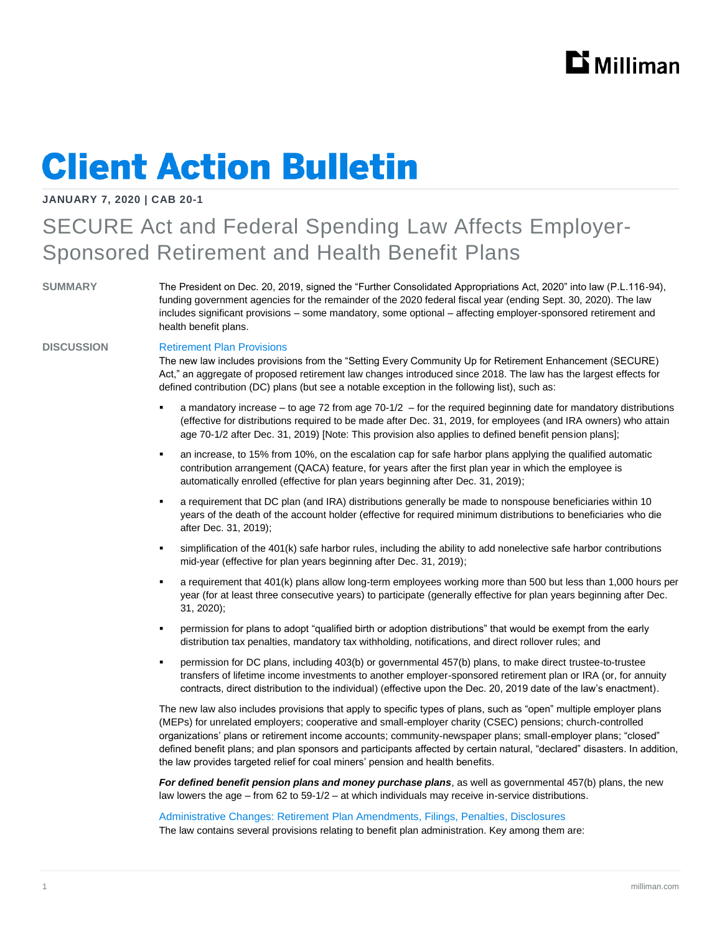# **Client Action Bulletin**

**JANUARY 7, 2020 | CAB 20-1**

## SECURE Act and Federal Spending Law Affects Employer-Sponsored Retirement and Health Benefit Plans

**SUMMARY** The President on Dec. 20, 2019, signed the "Further Consolidated Appropriations Act, 2020" into law (P.L.116-94), funding government agencies for the remainder of the 2020 federal fiscal year (ending Sept. 30, 2020). The law includes significant provisions – some mandatory, some optional – affecting employer-sponsored retirement and health benefit plans.

### **DISCUSSION** Retirement Plan Provisions

The new law includes provisions from the "Setting Every Community Up for Retirement Enhancement (SECURE) Act," an aggregate of proposed retirement law changes introduced since 2018. The law has the largest effects for defined contribution (DC) plans (but see a notable exception in the following list), such as:

- a mandatory increase to age 72 from age 70-1/2 for the required beginning date for mandatory distributions (effective for distributions required to be made after Dec. 31, 2019, for employees (and IRA owners) who attain age 70-1/2 after Dec. 31, 2019) [Note: This provision also applies to defined benefit pension plans];
- an increase, to 15% from 10%, on the escalation cap for safe harbor plans applying the qualified automatic contribution arrangement (QACA) feature, for years after the first plan year in which the employee is automatically enrolled (effective for plan years beginning after Dec. 31, 2019);
- a requirement that DC plan (and IRA) distributions generally be made to nonspouse beneficiaries within 10 years of the death of the account holder (effective for required minimum distributions to beneficiaries who die after Dec. 31, 2019);
- simplification of the 401(k) safe harbor rules, including the ability to add nonelective safe harbor contributions mid-year (effective for plan years beginning after Dec. 31, 2019);
- a requirement that 401(k) plans allow long-term employees working more than 500 but less than 1,000 hours per year (for at least three consecutive years) to participate (generally effective for plan years beginning after Dec. 31, 2020);
- permission for plans to adopt "qualified birth or adoption distributions" that would be exempt from the early distribution tax penalties, mandatory tax withholding, notifications, and direct rollover rules; and
- permission for DC plans, including 403(b) or governmental 457(b) plans, to make direct trustee-to-trustee transfers of lifetime income investments to another employer-sponsored retirement plan or IRA (or, for annuity contracts, direct distribution to the individual) (effective upon the Dec. 20, 2019 date of the law's enactment).

The new law also includes provisions that apply to specific types of plans, such as "open" multiple employer plans (MEPs) for unrelated employers; cooperative and small-employer charity (CSEC) pensions; church-controlled organizations' plans or retirement income accounts; community-newspaper plans; small-employer plans; "closed" defined benefit plans; and plan sponsors and participants affected by certain natural, "declared" disasters. In addition, the law provides targeted relief for coal miners' pension and health benefits.

*For defined benefit pension plans and money purchase plans*, as well as governmental 457(b) plans, the new law lowers the age – from 62 to 59-1/2 – at which individuals may receive in-service distributions.

Administrative Changes: Retirement Plan Amendments, Filings, Penalties, Disclosures The law contains several provisions relating to benefit plan administration. Key among them are: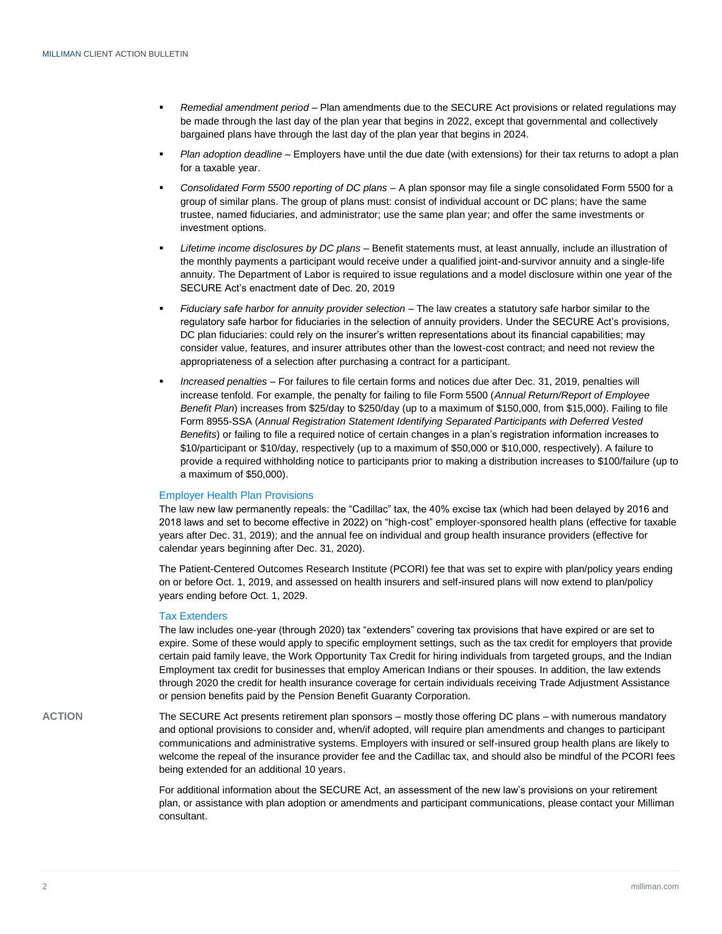- *Remedial amendment period*  Plan amendments due to the SECURE Act provisions or related regulations may be made through the last day of the plan year that begins in 2022, except that governmental and collectively bargained plans have through the last day of the plan year that begins in 2024.
- *Plan adoption deadline* Employers have until the due date (with extensions) for their tax returns to adopt a plan for a taxable year.
- *Consolidated Form 5500 reporting of DC plans*  A plan sponsor may file a single consolidated Form 5500 for a group of similar plans. The group of plans must: consist of individual account or DC plans; have the same trustee, named fiduciaries, and administrator; use the same plan year; and offer the same investments or investment options.
- *Lifetime income disclosures by DC plans* Benefit statements must, at least annually, include an illustration of the monthly payments a participant would receive under a qualified joint-and-survivor annuity and a single-life annuity. The Department of Labor is required to issue regulations and a model disclosure within one year of the SECURE Act's enactment date of Dec. 20, 2019
- *Fiduciary safe harbor for annuity provider selection* The law creates a statutory safe harbor similar to the regulatory safe harbor for fiduciaries in the selection of annuity providers. Under the SECURE Act's provisions, DC plan fiduciaries: could rely on the insurer's written representations about its financial capabilities; may consider value, features, and insurer attributes other than the lowest-cost contract; and need not review the appropriateness of a selection after purchasing a contract for a participant.
- *Increased penalties* For failures to file certain forms and notices due after Dec. 31, 2019, penalties will increase tenfold. For example, the penalty for failing to file Form 5500 (*Annual Return/Report of Employee Benefit Plan*) increases from \$25/day to \$250/day (up to a maximum of \$150,000, from \$15,000). Failing to file Form 8955-SSA (*Annual Registration Statement Identifying Separated Participants with Deferred Vested Benefits*) or failing to file a required notice of certain changes in a plan's registration information increases to \$10/participant or \$10/day, respectively (up to a maximum of \$50,000 or \$10,000, respectively). A failure to provide a required withholding notice to participants prior to making a distribution increases to \$100/failure (up to a maximum of \$50,000).

### Employer Health Plan Provisions

The law new law permanently repeals: the "Cadillac" tax, the 40% excise tax (which had been delayed by 2016 and 2018 laws and set to become effective in 2022) on "high-cost" employer-sponsored health plans (effective for taxable years after Dec. 31, 2019); and the annual fee on individual and group health insurance providers (effective for calendar years beginning after Dec. 31, 2020).

The Patient-Centered Outcomes Research Institute (PCORI) fee that was set to expire with plan/policy years ending on or before Oct. 1, 2019, and assessed on health insurers and self-insured plans will now extend to plan/policy years ending before Oct. 1, 2029.

### Tax Extenders

The law includes one-year (through 2020) tax "extenders" covering tax provisions that have expired or are set to expire. Some of these would apply to specific employment settings, such as the tax credit for employers that provide certain paid family leave, the Work Opportunity Tax Credit for hiring individuals from targeted groups, and the Indian Employment tax credit for businesses that employ American Indians or their spouses. In addition, the law extends through 2020 the credit for health insurance coverage for certain individuals receiving Trade Adjustment Assistance or pension benefits paid by the Pension Benefit Guaranty Corporation.

**ACTION** The SECURE Act presents retirement plan sponsors – mostly those offering DC plans – with numerous mandatory and optional provisions to consider and, when/if adopted, will require plan amendments and changes to participant communications and administrative systems. Employers with insured or self-insured group health plans are likely to welcome the repeal of the insurance provider fee and the Cadillac tax, and should also be mindful of the PCORI fees being extended for an additional 10 years.

> For additional information about the SECURE Act, an assessment of the new law's provisions on your retirement plan, or assistance with plan adoption or amendments and participant communications, please contact your Milliman consultant.